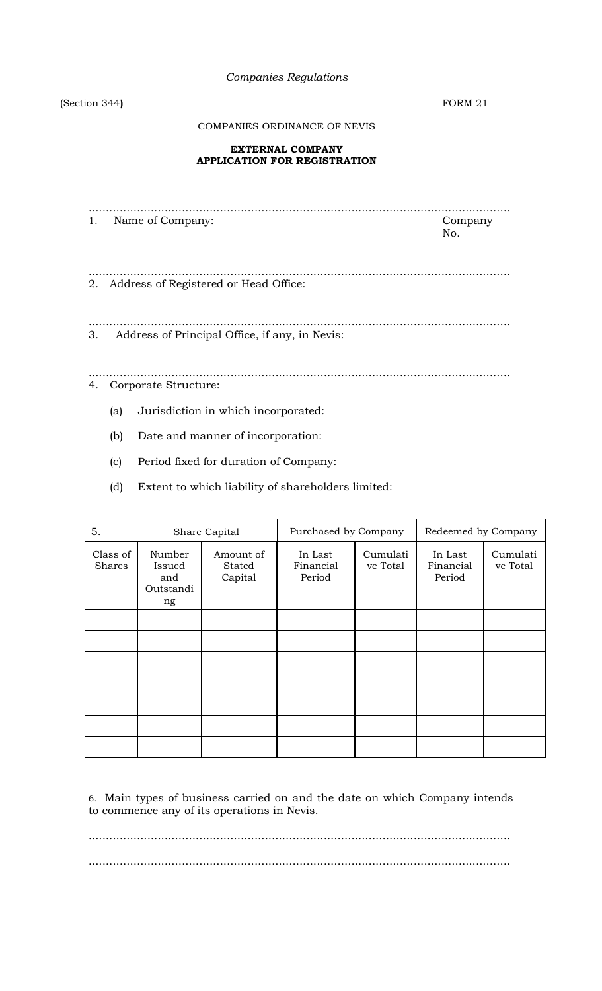*Companies Regulations*

(Section 344**)** FORM 21

COMPANIES ORDINANCE OF NEVIS

## **EXTERNAL COMPANY APPLICATION FOR REGISTRATION**

.......................................................................................................................... 1. Name of Company: Company: No. .......................................................................................................................... 2. Address of Registered or Head Office: ..........................................................................................................................

3. Address of Principal Office, if any, in Nevis:

.......................................................................................................................... 4. Corporate Structure:

- (a) Jurisdiction in which incorporated:
- (b) Date and manner of incorporation:
- (c) Period fixed for duration of Company:
- (d) Extent to which liability of shareholders limited:

| 5.                 | Share Capital                              |                                | Purchased by Company           |                      | Redeemed by Company            |                      |
|--------------------|--------------------------------------------|--------------------------------|--------------------------------|----------------------|--------------------------------|----------------------|
| Class of<br>Shares | Number<br>Issued<br>and<br>Outstandi<br>ng | Amount of<br>Stated<br>Capital | In Last<br>Financial<br>Period | Cumulati<br>ve Total | In Last<br>Financial<br>Period | Cumulati<br>ve Total |
|                    |                                            |                                |                                |                      |                                |                      |
|                    |                                            |                                |                                |                      |                                |                      |
|                    |                                            |                                |                                |                      |                                |                      |
|                    |                                            |                                |                                |                      |                                |                      |
|                    |                                            |                                |                                |                      |                                |                      |
|                    |                                            |                                |                                |                      |                                |                      |
|                    |                                            |                                |                                |                      |                                |                      |

6. Main types of business carried on and the date on which Company intends to commence any of its operations in Nevis.

..........................................................................................................................

..........................................................................................................................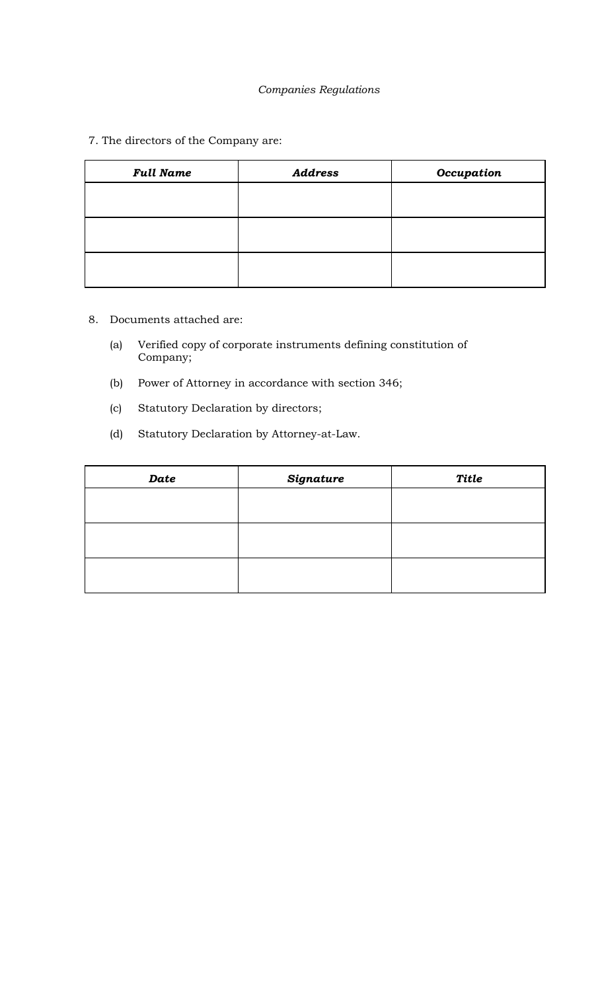# *Companies Regulations*

7. The directors of the Company are:

| <b>Full Name</b> | <b>Address</b> | Occupation |
|------------------|----------------|------------|
|                  |                |            |
|                  |                |            |
|                  |                |            |
|                  |                |            |
|                  |                |            |
|                  |                |            |

- 8. Documents attached are:
	- (a) Verified copy of corporate instruments defining constitution of Company;
	- (b) Power of Attorney in accordance with section 346;
	- (c) Statutory Declaration by directors;
	- (d) Statutory Declaration by Attorney-at-Law.

| Date | <b>Signature</b> | <b>Title</b> |
|------|------------------|--------------|
|      |                  |              |
|      |                  |              |
|      |                  |              |
|      |                  |              |
|      |                  |              |
|      |                  |              |